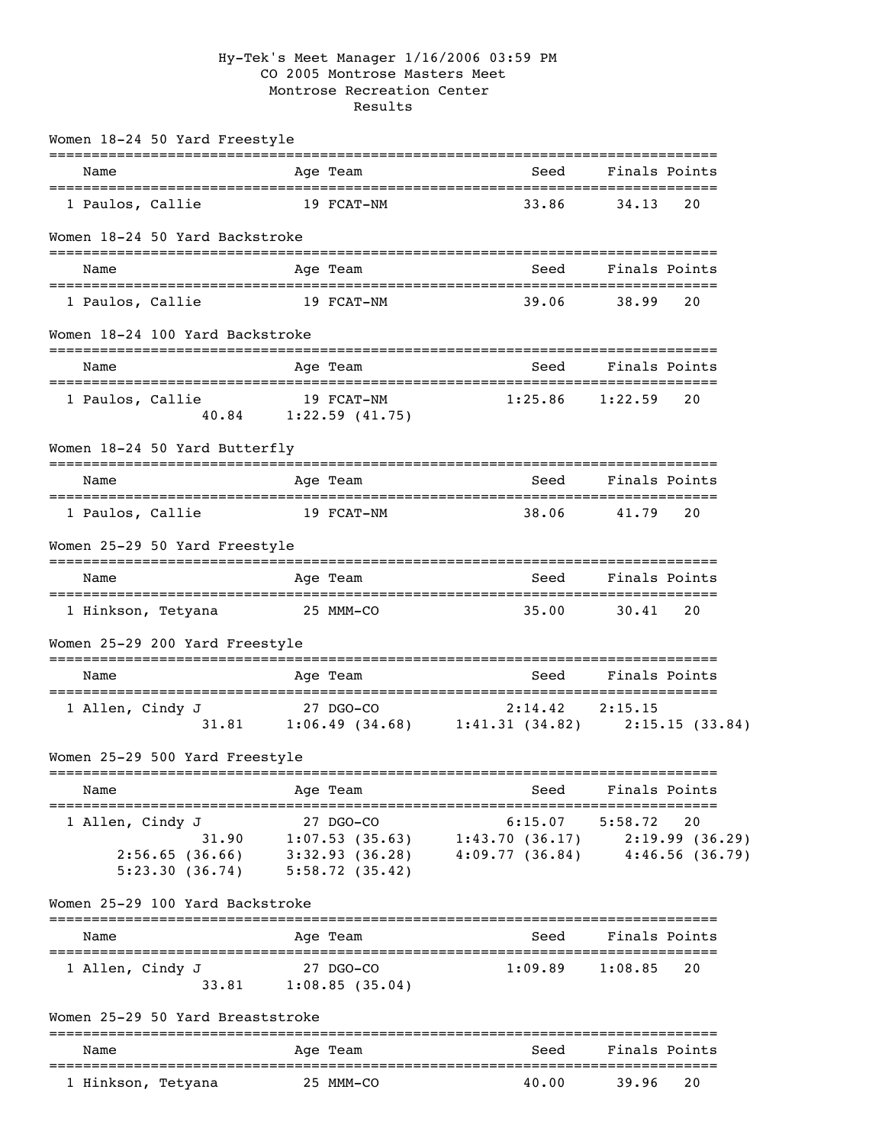## Hy-Tek's Meet Manager 1/16/2006 03:59 PM CO 2005 Montrose Masters Meet Montrose Recreation Center Results

| Women 18-24 50 Yard Freestyle                                 |                                               |                                                                                    |                                    |
|---------------------------------------------------------------|-----------------------------------------------|------------------------------------------------------------------------------------|------------------------------------|
| Name<br>-----------------                                     | -----------<br>Age Team                       | Seed                                                                               | Finals Points<br>----------------- |
| 1 Paulos, Callie                                              | 19 FCAT-NM                                    | 33.86                                                                              | 34.13<br>20                        |
| Women 18-24 50 Yard Backstroke                                |                                               |                                                                                    |                                    |
| Name                                                          | Age Team                                      | Seed                                                                               | Finals Points                      |
| 1 Paulos, Callie                                              | 19 FCAT-NM                                    | 39.06                                                                              | 38.99<br>20                        |
| Women 18-24 100 Yard Backstroke                               |                                               |                                                                                    |                                    |
| Name                                                          | Age Team                                      | Seed                                                                               | Finals Points                      |
| 1 Paulos, Callie                                              | 19 FCAT-NM<br>40.84 1:22.59 (41.75)           | 1:25.86                                                                            | 1:22.59<br>20                      |
| Women 18-24 50 Yard Butterfly                                 |                                               |                                                                                    |                                    |
| Name                                                          | ---------------<br>Age Team                   | Seed                                                                               | Finals Points                      |
| 1 Paulos, Callie                                              | 19 FCAT-NM                                    | 38.06                                                                              | 41.79<br>20                        |
| Women 25-29 50 Yard Freestyle                                 |                                               |                                                                                    |                                    |
| Name                                                          | Age Team                                      | Seed                                                                               | Finals Points                      |
| 1 Hinkson, Tetyana                                            | 25 MMM-CO                                     | 35.00                                                                              | 30.41<br>20                        |
| Women 25-29 200 Yard Freestyle                                |                                               |                                                                                    |                                    |
| Name                                                          | Age Team                                      | Seed                                                                               | Finals Points                      |
| 1 Allen, Cindy J<br>31.81                                     | 27 DGO-CO                                     | 2:14.42<br>$1:06.49$ $(34.68)$ $1:41.31$ $(34.82)$ $2:15.15$ $(33.84)$             | 2:15.15                            |
| Women 25-29 500 Yard Freestyle                                |                                               |                                                                                    |                                    |
| Name                                                          | Age Team                                      | Seed                                                                               | Finals Points                      |
| 1 Allen, Cindy J<br>31.90<br>2:56.65(36.66)<br>5:23.30(36.74) | 27 DGO-CO<br>3:32.93(36.28)<br>5:58.72(35.42) | 6:15.07<br>$1:07.53$ (35.63) $1:43.70$ (36.17) $2:19.99$ (36.29)<br>4:09.77(36.84) | 5:58.72<br>20<br>4:46.56(36.79)    |
| Women 25-29 100 Yard Backstroke                               |                                               |                                                                                    |                                    |
| Name                                                          | Age Team                                      | Seed                                                                               | Finals Points                      |
| 1 Allen, Cindy J<br>33.81                                     | 27 DGO-CO<br>1:08.85(35.04)                   | 1:09.89                                                                            | 20<br>1:08.85                      |
| Women 25-29 50 Yard Breaststroke                              |                                               |                                                                                    |                                    |
| Name                                                          | Age Team                                      | Seed                                                                               | Finals Points                      |
| 1 Hinkson, Tetyana                                            | 25 MMM-CO                                     | 40.00                                                                              | 39.96<br>20                        |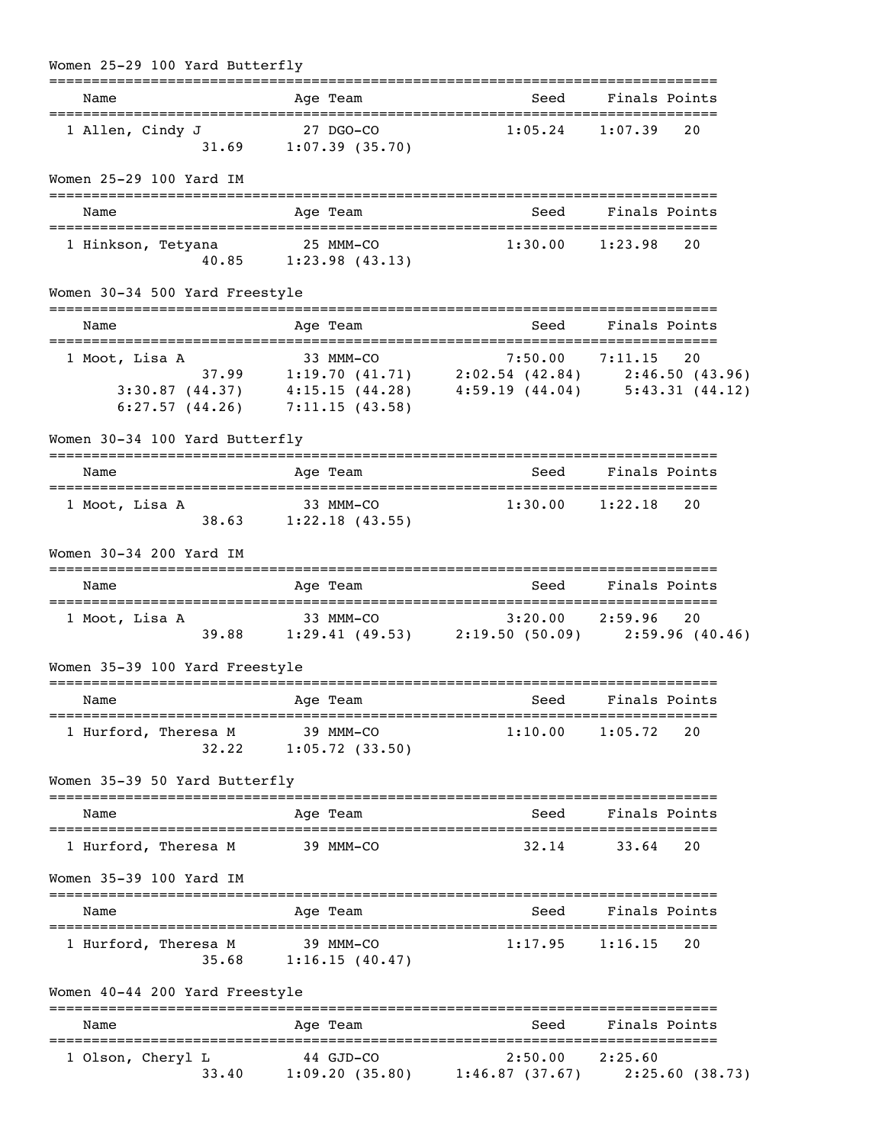| Women 25-29 100 Yard Butterfly          |                                                                                                                                                                                                   |                     |                        |
|-----------------------------------------|---------------------------------------------------------------------------------------------------------------------------------------------------------------------------------------------------|---------------------|------------------------|
| Name                                    | Age Team                                                                                                                                                                                          |                     | Seed Finals Points     |
| 1 Allen, Cindy J                        | 27 DGO-CO<br>$31.69$ $1:07.39$ (35.70)                                                                                                                                                            | $1:05.24$ $1:07.39$ | 20                     |
| Women 25-29 100 Yard IM                 |                                                                                                                                                                                                   |                     |                        |
| Name                                    | Age Team                                                                                                                                                                                          | Seed                | Finals Points          |
| 1 Hinkson, Tetyana                      | 25 MMM-CO<br>$40.85$ 1:23.98 (43.13)                                                                                                                                                              |                     | $1:30.00$ $1:23.98$ 20 |
| Women 30-34 500 Yard Freestyle          |                                                                                                                                                                                                   |                     |                        |
| Name                                    | Age Team                                                                                                                                                                                          |                     | Seed Finals Points     |
| 1 Moot, Lisa A                          | 5:33 MMM-CO 7:50.00 7:11.15 20<br>37.99 1:19.70 (41.71) 2:02.54 (42.84) 2:46.50 (43.96)<br>3:30.87 (44.37) 4:15.15 (44.28) 4:59.19 (44.04) 5:43.31 (44.12)<br>6:27.57 $(44.26)$ 7:11.15 $(43.58)$ |                     |                        |
| Women 30-34 100 Yard Butterfly          | ===========                                                                                                                                                                                       |                     |                        |
| Name                                    | Age Team                                                                                                                                                                                          | Seed                | Finals Points          |
| 1 Moot, Lisa A                          | 33 MMM-CO<br>$38.63$ 1:22.18 (43.55)                                                                                                                                                              |                     | $1:30.00$ $1:22.18$ 20 |
| Women 30-34 200 Yard IM                 |                                                                                                                                                                                                   |                     |                        |
| Name                                    | Age Team                                                                                                                                                                                          | Seed                | Finals Points          |
| 1 Moot, Lisa A                          | 33 MMM-CO<br>39.88 1:29.41 (49.53) 2:19.50 (50.09) 2:59.96 (40.46)                                                                                                                                |                     |                        |
| Women 35-39 100 Yard Freestyle          |                                                                                                                                                                                                   |                     |                        |
| Name                                    | Age Team                                                                                                                                                                                          |                     | Seed Finals Points     |
| 1 Hurford, Theresa M 39 MMM-CO<br>32.22 | $1:05.72$ (33.50)                                                                                                                                                                                 | $1:10.00$ $1:05.72$ | 20                     |
| Women 35-39 50 Yard Butterfly           |                                                                                                                                                                                                   |                     |                        |
| Name                                    | Age Team                                                                                                                                                                                          | Seed <b>Seed</b>    | Finals Points          |
| 1 Hurford, Theresa M                    | 39 MMM-CO                                                                                                                                                                                         | 32.14               | 33.64<br>20            |
| Women 35-39 100 Yard IM                 |                                                                                                                                                                                                   |                     |                        |
| Name                                    | Age Team                                                                                                                                                                                          | Seed                | Finals Points          |
| 1 Hurford, Theresa M                    | 39 MMM-CO<br>35.68 1:16.15 (40.47)                                                                                                                                                                | $1:17.95$ $1:16.15$ | 20                     |
| Women 40-44 200 Yard Freestyle          |                                                                                                                                                                                                   |                     |                        |
| Name                                    | Age Team                                                                                                                                                                                          |                     | Seed Finals Points     |
| 1 Olson, Cheryl L<br>33.40              | $44$ GJD-CO<br>$1:09.20(35.80)$ $1:46.87(37.67)$ $2:25.60(38.73)$                                                                                                                                 | $2:50.00$ $2:25.60$ |                        |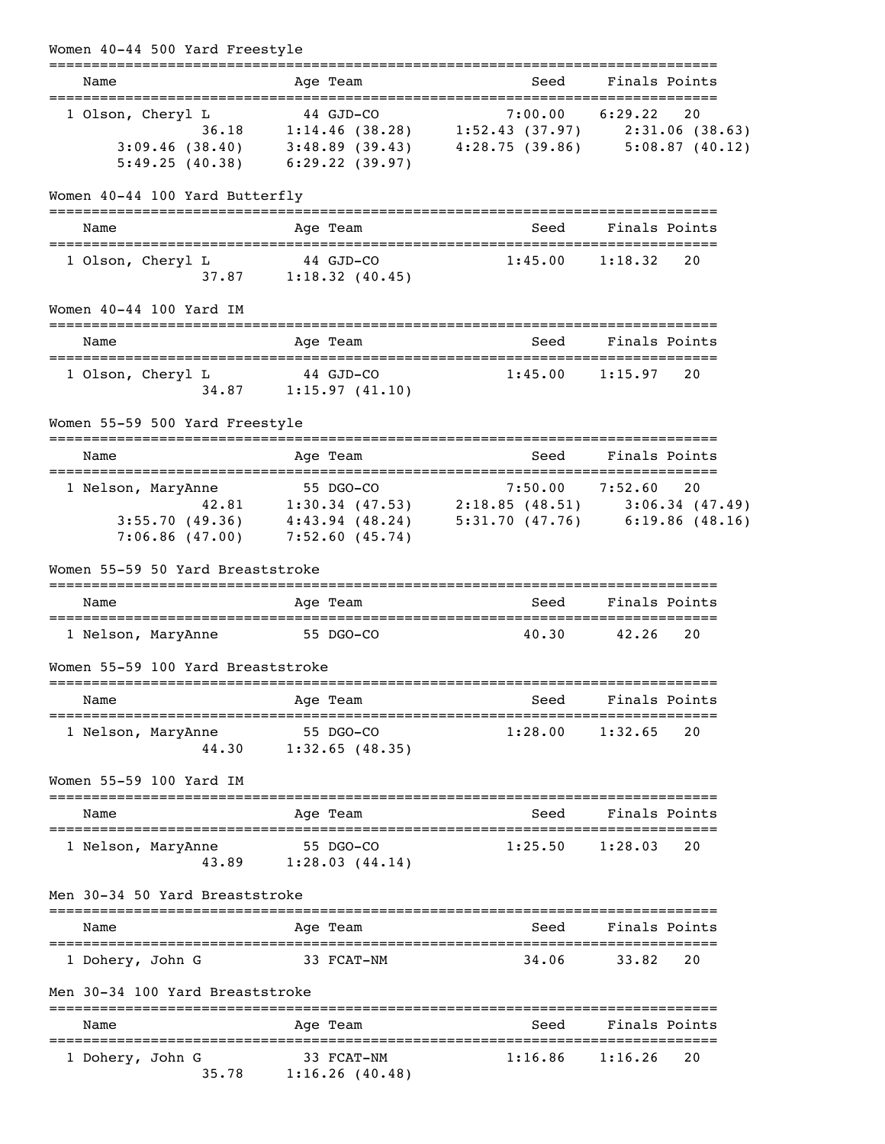| Women 40-44 500 Yard Freestyle                                  |                                                                                                                                                                                                                             | :======================= |                             |  |
|-----------------------------------------------------------------|-----------------------------------------------------------------------------------------------------------------------------------------------------------------------------------------------------------------------------|--------------------------|-----------------------------|--|
| Name                                                            | Age Team                                                                                                                                                                                                                    | Seed                     | Finals Points               |  |
| 1 Olson, Cheryl L                                               | L 44 GJD-CO 7:00.00 6:29.22 20<br>36.18 1:14.46 (38.28) 1:52.43 (37.97) 2:31.06 (38.63)<br>$3:09.46$ (38.40) $3:48.89$ (39.43) $4:28.75$ (39.86) $5:08.87$ (40.12)<br>$5:49.25(40.38)$ $6:29.22(39.97)$                     |                          |                             |  |
| Women 40-44 100 Yard Butterfly                                  |                                                                                                                                                                                                                             |                          |                             |  |
| Name                                                            | Age Team                                                                                                                                                                                                                    | Seed                     | Finals Points               |  |
| 1 Olson, Cheryl L                                               | $44$ GJD-CO<br>$37.87$ 1:18.32 (40.45)                                                                                                                                                                                      | $1:45.00$ $1:18.32$      | 20                          |  |
| Women 40-44 100 Yard IM                                         |                                                                                                                                                                                                                             |                          |                             |  |
| Name                                                            | Age Team                                                                                                                                                                                                                    |                          | Seed Finals Points          |  |
| 1 Olson, Cheryl L                                               | $44$ GJD-CO<br>$34.87$ 1:15.97 (41.10)                                                                                                                                                                                      | $1:45.00$ $1:15.97$      | 20                          |  |
| Women 55-59 500 Yard Freestyle                                  |                                                                                                                                                                                                                             |                          |                             |  |
| Name                                                            | Age Team                                                                                                                                                                                                                    | Seed                     | Finals Points               |  |
| 1 Nelson, MaryAnne                                              | me<br>42.81 55 DGO-CO<br>47.53) 7:50.00 7:52.60 20<br>42.81 1:30.34 (47.53) 2:18.85 (48.51) 3:06.34 (47.49)<br>3:55.70 (49.36) $4:43.94$ (48.24) $5:31.70$ (47.76) $6:19.86$ (48.16)<br>$7:06.86$ (47.00) $7:52.60$ (45.74) |                          |                             |  |
| Women 55-59 50 Yard Breaststroke                                |                                                                                                                                                                                                                             |                          |                             |  |
| Name                                                            | Age Team                                                                                                                                                                                                                    | Seed                     | Finals Points               |  |
| 1 Nelson, MaryAnne                                              | 55 DGO-CO                                                                                                                                                                                                                   | 40.30                    | 42.26 20                    |  |
| Women 55-59 100 Yard Breaststroke<br>========================== |                                                                                                                                                                                                                             |                          |                             |  |
| Name                                                            | Age Team                                                                                                                                                                                                                    | Seed                     | Finals Points               |  |
| 1 Nelson, MaryAnne<br>44.30                                     | 55 DGO-CO<br>1:32.65(48.35)                                                                                                                                                                                                 | 1:28.00                  | 20<br>1:32.65               |  |
| Women 55-59 100 Yard IM                                         |                                                                                                                                                                                                                             |                          |                             |  |
| Name                                                            | Age Team                                                                                                                                                                                                                    | Seed                     | Finals Points               |  |
| l Nelson, MaryAnne<br>43.89                                     | 55 DGO-CO<br>1:28.03(44.14)                                                                                                                                                                                                 | 1:25.50                  | 1:28.03<br>20               |  |
| Men 30-34 50 Yard Breaststroke                                  |                                                                                                                                                                                                                             |                          |                             |  |
| Name                                                            | Age Team                                                                                                                                                                                                                    | Seed                     | Finals Points               |  |
| 1 Dohery, John G                                                | 33 FCAT-NM                                                                                                                                                                                                                  | 34.06                    | 20<br>33.82                 |  |
| Men 30-34 100 Yard Breaststroke                                 |                                                                                                                                                                                                                             |                          |                             |  |
| Name                                                            | Age Team                                                                                                                                                                                                                    | Seed<br>---------------  | Finals Points<br>---------- |  |
| 1 Dohery, John G<br>35.78                                       | 33 FCAT-NM<br>1:16.26(40.48)                                                                                                                                                                                                | 1:16.86                  | 1:16.26<br>20               |  |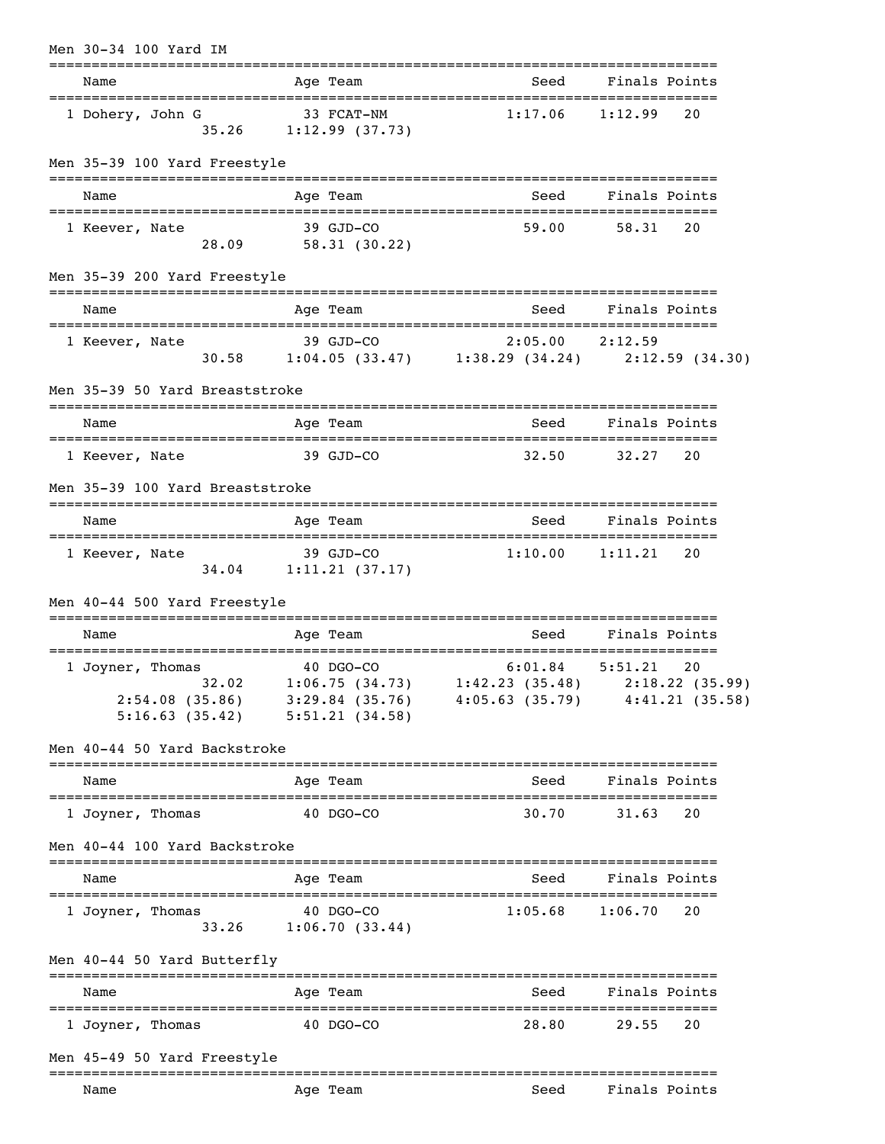| Men 30-34 100 Yard IM                                                                        |                                           |                                                                                                         |                                  |    |
|----------------------------------------------------------------------------------------------|-------------------------------------------|---------------------------------------------------------------------------------------------------------|----------------------------------|----|
| Name                                                                                         | Age Team                                  |                                                                                                         | Seed Finals Points               |    |
| 1 Dohery, John G                                                                             | 33 FCAT-NM<br>$35.26$ 1:12.99 (37.73)     | $1:17.06$ $1:12.99$                                                                                     |                                  | 20 |
| Men 35-39 100 Yard Freestyle                                                                 |                                           |                                                                                                         |                                  |    |
| Name                                                                                         | Age Team                                  | Seed                                                                                                    | Finals Points                    |    |
| 1 Keever, Nate                                                                               | 39 GJD-CO<br>28.09 58.31 (30.22)          | 59.00                                                                                                   | 58.31                            | 20 |
| Men 35-39 200 Yard Freestyle                                                                 |                                           |                                                                                                         |                                  |    |
| Name                                                                                         | Age Team                                  | Seed                                                                                                    | Finals Points                    |    |
| 1 Keever, Nate                                                                               | 39 GJD-CO                                 | 39 GJD-CO<br>30.58 1:04.05 (33.47) 1:38.29 (34.24) 2:12.59 (34.30)                                      |                                  |    |
| Men 35-39 50 Yard Breaststroke                                                               |                                           |                                                                                                         |                                  |    |
| Name                                                                                         | Age Team                                  | Seed                                                                                                    | Finals Points                    |    |
| 1 Keever, Nate                                                                               | 39 GJD-CO                                 | 32.50                                                                                                   | 32.27                            | 20 |
| Men 35-39 100 Yard Breaststroke                                                              |                                           |                                                                                                         |                                  |    |
| Name                                                                                         | Age Team                                  | Seed                                                                                                    | Finals Points                    |    |
| 1 Keever, Nate                                                                               | $39$ $GJD$ $-CO$<br>34.04 1:11.21 (37.17) | $1:10.00$ $1:11.21$                                                                                     |                                  | 20 |
| Men 40-44 500 Yard Freestyle                                                                 |                                           |                                                                                                         |                                  |    |
| Name                                                                                         | Age Team                                  |                                                                                                         | Seed Finals Points               |    |
| 1 Joyner, Thomas<br>$2:54.08$ (35.86) 3:29.84 (35.76)<br>$5:16.63$ (35.42) $5:51.21$ (34.58) | 40 DGO-CO                                 | 6:01.84<br>$32.02$ 1:06.75 (34.73) 1:42.23 (35.48) 2:18.22 (35.99)<br>$4:05.63(35.79)$ $4:41.21(35.58)$ | 5:51.21                          | 20 |
| Men 40-44 50 Yard Backstroke                                                                 |                                           |                                                                                                         |                                  |    |
| Name                                                                                         | Age Team                                  | Seed                                                                                                    | Finals Points                    |    |
| 1 Joyner, Thomas                                                                             | 40 DGO-CO                                 | 30.70                                                                                                   | 31.63                            | 20 |
| Men 40-44 100 Yard Backstroke                                                                |                                           |                                                                                                         |                                  |    |
| Name                                                                                         | Age Team                                  | Seed                                                                                                    | Finals Points                    |    |
| 1 Joyner, Thomas                                                                             | 40 DGO-CO<br>33.26 1:06.70 (33.44)        | 1:05.68                                                                                                 | 1:06.70                          | 20 |
| Men 40-44 50 Yard Butterfly                                                                  |                                           |                                                                                                         |                                  |    |
| Name                                                                                         | Age Team                                  | Seed                                                                                                    | Finals Points                    |    |
| 1 Joyner, Thomas                                                                             | 40 DGO-CO                                 | 28.80                                                                                                   | 29.55                            | 20 |
| Men 45-49 50 Yard Freestyle                                                                  |                                           |                                                                                                         |                                  |    |
| Name                                                                                         | Age Team                                  | ==================================<br>Seed                                                              | ===============<br>Finals Points |    |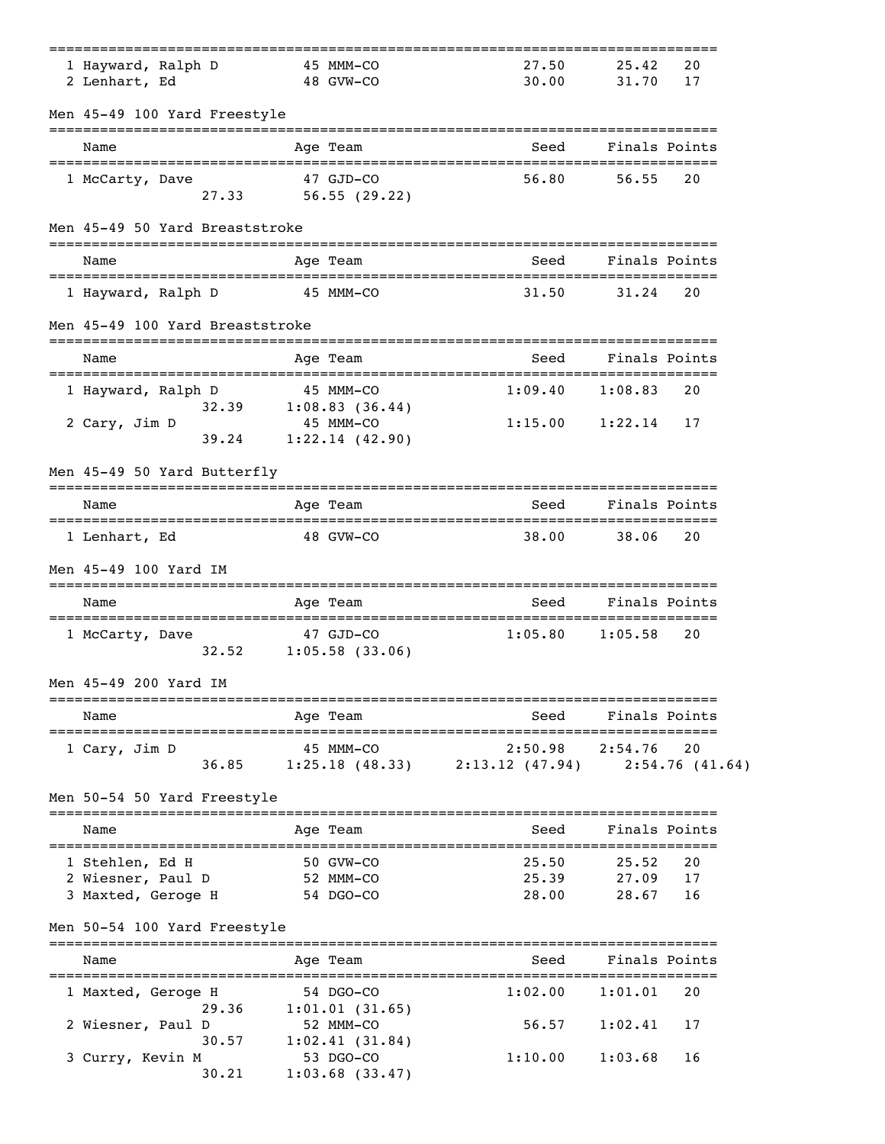| 1 Hayward, Ralph D<br>2 Lenhart, Ed                        |           | 45 MMM-CO<br>48 GVW-CO                        | 27.50<br>30.00                                 | 25.42<br>31.70              | 20<br>17             |
|------------------------------------------------------------|-----------|-----------------------------------------------|------------------------------------------------|-----------------------------|----------------------|
| Men 45-49 100 Yard Freestyle                               |           |                                               |                                                |                             |                      |
| Name                                                       |           | Age Team                                      | Seed                                           |                             | Finals Points        |
| 1 McCarty, Dave<br>27.33                                   |           | 47 GJD-CO<br>56.55(29.22)                     | 56.80                                          | 56.55                       | 20                   |
| Men 45-49 50 Yard Breaststroke                             |           |                                               |                                                |                             |                      |
| Name                                                       |           | Age Team                                      | Seed                                           |                             | Finals Points        |
| 1 Hayward, Ralph D                                         |           | 45 MMM-CO                                     | 31.50                                          | 31.24                       | 20                   |
| Men 45-49 100 Yard Breaststroke                            |           | -------------                                 |                                                |                             |                      |
| Name                                                       |           | Age Team                                      | Seed                                           | Finals Points               |                      |
| 1 Hayward, Ralph D<br>32.39                                |           | 45 MMM-CO<br>1:08.83(36.44)                   | 1:09.40                                        | 1:08.83                     | 20                   |
| 2 Cary, Jim D<br>39.24                                     |           | 45 MMM-CO<br>1:22.14(42.90)                   | 1:15.00                                        | 1:22.14                     | 17                   |
| Men 45-49 50 Yard Butterfly                                |           |                                               |                                                |                             |                      |
| Name                                                       |           | Age Team                                      | Seed                                           |                             | Finals Points        |
| 1 Lenhart, Ed                                              |           | 48 GVW-CO                                     | 38.00                                          | 38.06                       | 20                   |
| Men 45-49 100 Yard IM                                      |           | ==========                                    |                                                |                             |                      |
| Name                                                       |           | Aqe Team                                      | Seed                                           | Finals Points               |                      |
| 1 McCarty, Dave<br>32.52                                   |           | 47 GJD-CO<br>$1:05.58$ (33.06)                | 1:05.80                                        | 1:05.58                     | 20                   |
| Men 45-49 200 Yard IM                                      |           | ============                                  | .=================================             |                             |                      |
| Name                                                       |           | Age Team                                      | Seed                                           |                             | Finals Points        |
| 1 Cary, Jim D<br>36.85                                     |           | 45 MMM-CO                                     | 2:50.98<br>$1:25.18$ (48.33) $2:13.12$ (47.94) | 2:54.76                     | 20<br>2:54.76(41.64) |
| Men 50-54 50 Yard Freestyle                                |           |                                               |                                                |                             |                      |
| Name                                                       |           | Age Team                                      | Seed                                           |                             | Finals Points        |
| 1 Stehlen, Ed H<br>2 Wiesner, Paul D<br>3 Maxted, Geroge H | 52 MMM-CO | 50 GVW-CO<br>54 DGO-CO                        | 25.50<br>25.39<br>28.00                        | 25.52<br>27.09<br>28.67     | 20<br>17<br>16       |
| Men 50-54 100 Yard Freestyle                               |           |                                               |                                                |                             |                      |
| Name<br>=================================                  |           | Age Team                                      | Seed<br>---------------------                  | Finals Points<br>---------- |                      |
| 1 Maxted, Geroge H                                         |           | 54 DGO-CO                                     | 1:02.00                                        | 1:01.01                     | 20                   |
| 29.36<br>2 Wiesner, Paul D<br>30.57                        |           | 1:01.01(31.65)<br>52 MMM-CO<br>1:02.41(31.84) | 56.57                                          | 1:02.41                     | 17                   |
| 3 Curry, Kevin M<br>30.21                                  |           | 53 DGO-CO<br>$1:03.68$ (33.47)                | 1:10.00                                        | 1:03.68                     | 16                   |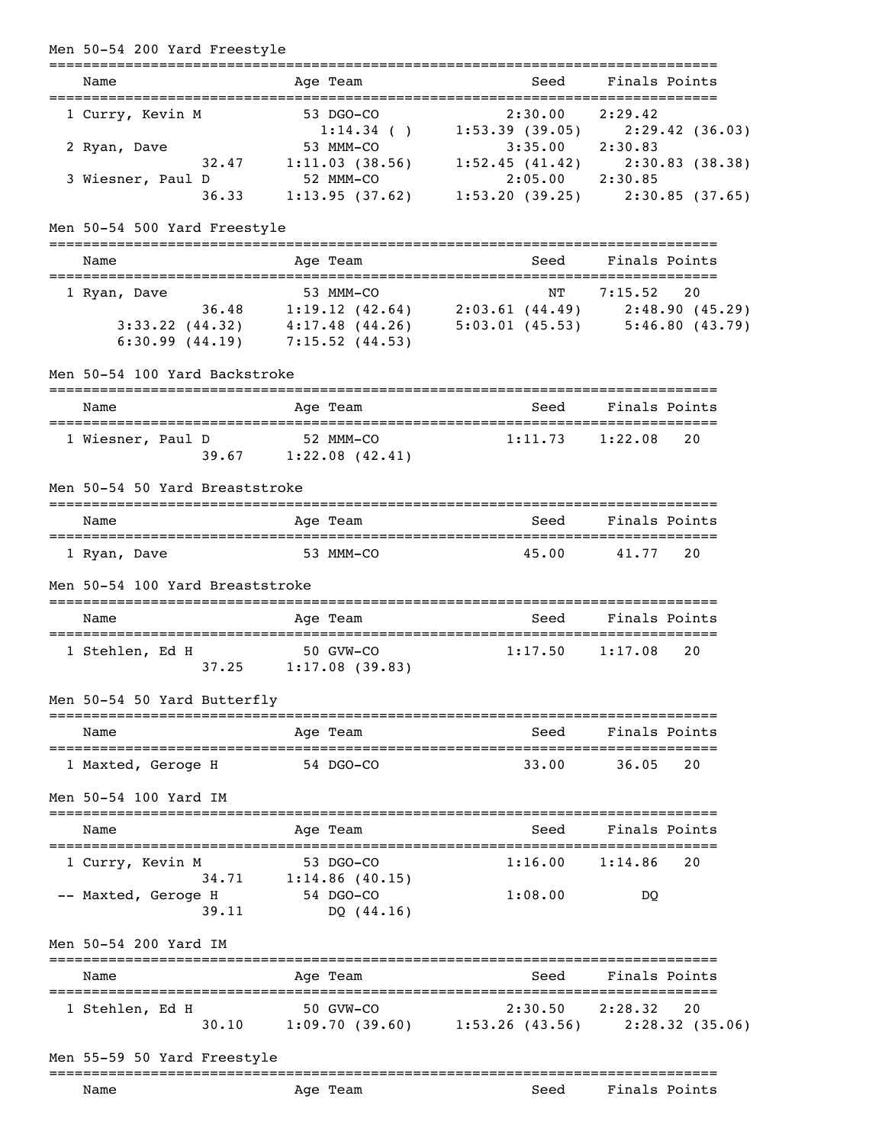| Men 50-54 200 Yard Freestyle                     |                                                                                                                                                                                        |                              | ===============================                                                                    |
|--------------------------------------------------|----------------------------------------------------------------------------------------------------------------------------------------------------------------------------------------|------------------------------|----------------------------------------------------------------------------------------------------|
| Name                                             | Age Team                                                                                                                                                                               | Seed                         | Finals Points                                                                                      |
| 1 Curry, Kevin M<br>2 Ryan, Dave                 | 53 DGO-CO<br>53 MMM-CO                                                                                                                                                                 | 2:30.00<br>$3:35.00$ 2:30.83 | 2:29.42<br>1:14.34 ( ) 1:53.39 (39.05) 2:29.42 (36.03)                                             |
| 32.47<br>3 Wiesner, Paul D<br>36.33              | 52 MMM-CO                                                                                                                                                                              | $2:05.00$ $2:30.85$          | 1:11.03 (38.56) 1:52.45 (41.42) 2:30.83 (38.38)<br>1:13.95 (37.62) 1:53.20 (39.25) 2:30.85 (37.65) |
| Men 50-54 500 Yard Freestyle                     |                                                                                                                                                                                        |                              |                                                                                                    |
| Name                                             | Age Team                                                                                                                                                                               | Seed                         | Finals Points                                                                                      |
| 1 Ryan, Dave                                     | 53 MMM-CO<br>36.48 1:19.12 (42.64) 2:03.61 (44.49) 2:48.90 (45.29)<br>3:33.22 (44.32) $4:17.48$ (44.26) $5:03.01$ (45.53) $5:46.80$ (43.79)<br>$6:30.99$ $(44.19)$ $7:15.52$ $(44.53)$ | NΤ                           | 7:15.52<br>20                                                                                      |
| Men 50-54 100 Yard Backstroke                    | -----------                                                                                                                                                                            |                              |                                                                                                    |
| Name                                             | Age Team                                                                                                                                                                               | Seed                         | Finals Points                                                                                      |
| 1 Wiesner, Paul D                                | 52 MMM-CO<br>39.67 1:22.08 (42.41)                                                                                                                                                     | 1:11.73                      | 20<br>1:22.08                                                                                      |
| Men 50-54 50 Yard Breaststroke                   |                                                                                                                                                                                        |                              |                                                                                                    |
| Name                                             | Age Team                                                                                                                                                                               | Seed                         | Finals Points                                                                                      |
| 1 Ryan, Dave                                     | 53 MMM-CO                                                                                                                                                                              | 45.00                        | 41.77<br>20                                                                                        |
| Men 50-54 100 Yard Breaststroke                  |                                                                                                                                                                                        |                              |                                                                                                    |
| Name                                             | Age Team                                                                                                                                                                               | Seed                         | Finals Points                                                                                      |
| 1 Stehlen, Ed H                                  | 50 GVW-CO<br>$37.25$ 1:17.08 (39.83)                                                                                                                                                   | 1:17.50                      | 1:17.08<br>20                                                                                      |
| Men 50-54 50 Yard Butterfly                      |                                                                                                                                                                                        |                              |                                                                                                    |
| Name                                             | Age Team                                                                                                                                                                               | Seed                         | Finals Points                                                                                      |
| 1 Maxted, Geroge H                               | 54 DGO-CO                                                                                                                                                                              | 33.00                        | 36.05<br>20                                                                                        |
| Men 50-54 100 Yard IM                            |                                                                                                                                                                                        |                              |                                                                                                    |
| Name                                             | Age Team                                                                                                                                                                               | Seed                         | Finals Points                                                                                      |
| 1 Curry, Kevin M<br>34.71<br>-- Maxted, Geroge H | 53 DGO-CO<br>$1:14.86$ (40.15)<br>54 DGO-CO                                                                                                                                            | 1:16.00<br>1:08.00           | 1:14.86<br>20<br>DQ                                                                                |
| 39.11<br>Men 50-54 200 Yard IM                   | DQ $(44.16)$                                                                                                                                                                           |                              |                                                                                                    |
| Name                                             | Age Team                                                                                                                                                                               | Seed                         | Finals Points                                                                                      |
| 1 Stehlen, Ed H                                  | 50 GVW-CO<br>30.10 1:09.70 (39.60) 1:53.26 (43.56) 2:28.32 (35.06)                                                                                                                     | 2:30.50                      | 2:28.32<br>20                                                                                      |
| Men 55-59 50 Yard Freestyle                      |                                                                                                                                                                                        |                              |                                                                                                    |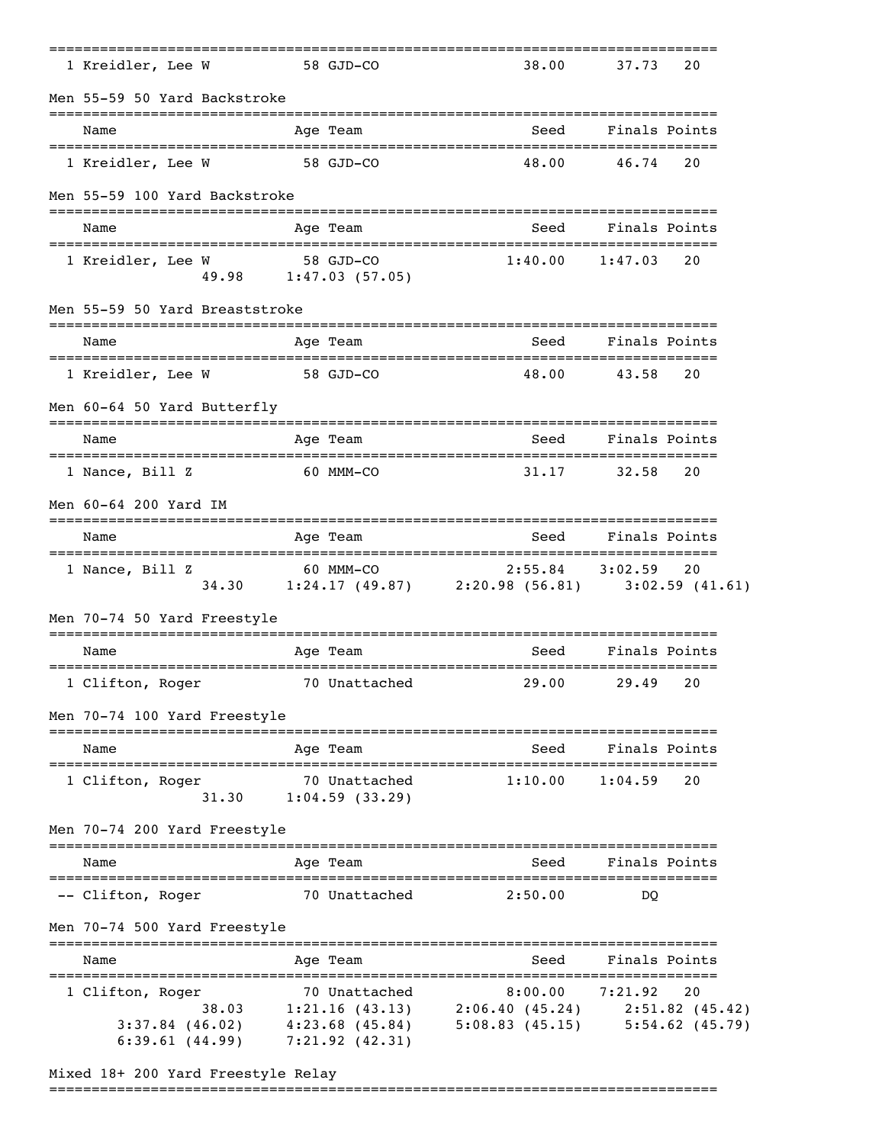| 1 Kreidler, Lee W                                             | 58 GJD-CO     |                                                    | 38.00                                                                              | 37.73         | 20                      |
|---------------------------------------------------------------|---------------|----------------------------------------------------|------------------------------------------------------------------------------------|---------------|-------------------------|
| Men 55-59 50 Yard Backstroke                                  | ------------- |                                                    |                                                                                    |               |                         |
| Name                                                          |               | Age Team                                           | Seed                                                                               | Finals Points |                         |
| 1 Kreidler, Lee W                                             | 58 GJD-CO     |                                                    | 48.00                                                                              | 46.74         | 20                      |
| Men 55-59 100 Yard Backstroke                                 |               |                                                    |                                                                                    |               |                         |
| Name                                                          |               | Age Team                                           | Seed                                                                               | Finals Points |                         |
| 1 Kreidler, Lee W                                             |               | 58 GJD-CO<br>49.98 1:47.03 (57.05)                 | 1:40.00                                                                            | 1:47.03       | 20                      |
| Men 55-59 50 Yard Breaststroke                                |               | ======                                             |                                                                                    |               |                         |
| Name                                                          |               | Age Team                                           | Seed                                                                               | Finals Points |                         |
| 1 Kreidler, Lee W                                             | 58 GJD-CO     |                                                    | 48.00                                                                              | 43.58         | 20                      |
| Men 60-64 50 Yard Butterfly                                   |               |                                                    |                                                                                    |               |                         |
| Name                                                          |               | Age Team                                           | Seed                                                                               | Finals Points |                         |
| 1 Nance, Bill Z                                               | 60 MMM-CO     |                                                    | 31.17                                                                              | 32.58         | 20                      |
| Men 60-64 200 Yard IM                                         |               |                                                    |                                                                                    |               |                         |
| Name                                                          |               | Age Team                                           | Seed                                                                               | Finals Points |                         |
| 1 Nance, Bill Z                                               |               | 60 MMM-CO                                          | $2:55.84$ $3:02.59$<br>34.30 1:24.17 (49.87) 2:20.98 (56.81) 3:02.59 (41.61)       |               | 20                      |
| Men 70-74 50 Yard Freestyle                                   |               |                                                    |                                                                                    |               |                         |
| Name                                                          |               | Age Team                                           | Seed                                                                               | Finals Points |                         |
| 1 Clifton, Roger                                              | :=========    | 70 Unattached                                      | ==============================<br>29.00                                            | 29.49         | 20                      |
| Men 70-74 100 Yard Freestyle                                  |               |                                                    |                                                                                    |               |                         |
| Name                                                          |               | Age Team                                           | Seed                                                                               | Finals Points |                         |
| 1 Clifton, Roger<br>31.30                                     |               | 70 Unattached<br>1:04.59(33.29)                    | 1:10.00                                                                            | 1:04.59       | 20                      |
| Men 70-74 200 Yard Freestyle<br>============================= |               |                                                    |                                                                                    |               |                         |
| Name                                                          |               | Age Team                                           | Seed                                                                               | Finals Points |                         |
| -- Clifton, Roger                                             |               | 70 Unattached                                      | 2:50.00                                                                            | DO            |                         |
| Men 70-74 500 Yard Freestyle                                  |               |                                                    |                                                                                    |               |                         |
| Name                                                          |               | Age Team                                           | Seed                                                                               | Finals Points |                         |
| 1 Clifton, Roger<br>$3:37.84$ (46.02)<br>6:39.61(44.99)       |               | 70 Unattached<br>4:23.68(45.84)<br>7:21.92 (42.31) | 8:00.00<br>38.03 1:21.16 (43.13) 2:06.40 (45.24) 2:51.82 (45.42)<br>5:08.83(45.15) | 7:21.92       | 20<br>$5:54.62$ (45.79) |

## Mixed 18+ 200 Yard Freestyle Relay

===============================================================================